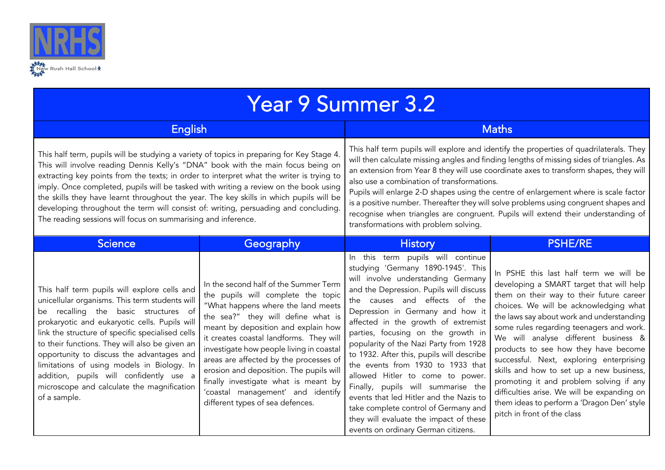

| <b>Year 9 Summer 3.2</b>                                                                                                                                                                                                                                                                                                                                                                                                                                                                                                                                                                                             |                                                                                                                                                                                                                                                                                                                                                                                                                                                                                             |                                                                                                                                                                                                                                                                                                                                                                                                                                                                                                                                                                                                                                                                                      |                                                                                                                                                                                                                                                                                                                                                                                                                                                                                                                                                                                                                  |  |  |
|----------------------------------------------------------------------------------------------------------------------------------------------------------------------------------------------------------------------------------------------------------------------------------------------------------------------------------------------------------------------------------------------------------------------------------------------------------------------------------------------------------------------------------------------------------------------------------------------------------------------|---------------------------------------------------------------------------------------------------------------------------------------------------------------------------------------------------------------------------------------------------------------------------------------------------------------------------------------------------------------------------------------------------------------------------------------------------------------------------------------------|--------------------------------------------------------------------------------------------------------------------------------------------------------------------------------------------------------------------------------------------------------------------------------------------------------------------------------------------------------------------------------------------------------------------------------------------------------------------------------------------------------------------------------------------------------------------------------------------------------------------------------------------------------------------------------------|------------------------------------------------------------------------------------------------------------------------------------------------------------------------------------------------------------------------------------------------------------------------------------------------------------------------------------------------------------------------------------------------------------------------------------------------------------------------------------------------------------------------------------------------------------------------------------------------------------------|--|--|
| <b>English</b>                                                                                                                                                                                                                                                                                                                                                                                                                                                                                                                                                                                                       |                                                                                                                                                                                                                                                                                                                                                                                                                                                                                             | <b>Maths</b>                                                                                                                                                                                                                                                                                                                                                                                                                                                                                                                                                                                                                                                                         |                                                                                                                                                                                                                                                                                                                                                                                                                                                                                                                                                                                                                  |  |  |
| This half term, pupils will be studying a variety of topics in preparing for Key Stage 4.<br>This will involve reading Dennis Kelly's "DNA" book with the main focus being on<br>extracting key points from the texts; in order to interpret what the writer is trying to<br>imply. Once completed, pupils will be tasked with writing a review on the book using<br>the skills they have learnt throughout the year. The key skills in which pupils will be<br>developing throughout the term will consist of: writing, persuading and concluding.<br>The reading sessions will focus on summarising and inference. |                                                                                                                                                                                                                                                                                                                                                                                                                                                                                             | This half term pupils will explore and identify the properties of quadrilaterals. They<br>will then calculate missing angles and finding lengths of missing sides of triangles. As<br>an extension from Year 8 they will use coordinate axes to transform shapes, they will<br>also use a combination of transformations.<br>Pupils will enlarge 2-D shapes using the centre of enlargement where is scale factor<br>is a positive number. Thereafter they will solve problems using congruent shapes and<br>recognise when triangles are congruent. Pupils will extend their understanding of<br>transformations with problem solving.                                              |                                                                                                                                                                                                                                                                                                                                                                                                                                                                                                                                                                                                                  |  |  |
| <b>Science</b>                                                                                                                                                                                                                                                                                                                                                                                                                                                                                                                                                                                                       | Geography                                                                                                                                                                                                                                                                                                                                                                                                                                                                                   | <b>History</b>                                                                                                                                                                                                                                                                                                                                                                                                                                                                                                                                                                                                                                                                       | <b>PSHE/RE</b>                                                                                                                                                                                                                                                                                                                                                                                                                                                                                                                                                                                                   |  |  |
| This half term pupils will explore cells and<br>unicellular organisms. This term students will<br>be recalling the basic structures of<br>prokaryotic and eukaryotic cells. Pupils will<br>link the structure of specific specialised cells<br>to their functions. They will also be given an<br>opportunity to discuss the advantages and<br>limitations of using models in Biology. In<br>addition, pupils will confidently use a<br>microscope and calculate the magnification<br>of a sample.                                                                                                                    | In the second half of the Summer Term<br>the pupils will complete the topic<br>"What happens where the land meets<br>the sea?" they will define what is<br>meant by deposition and explain how<br>it creates coastal landforms. They will<br>investigate how people living in coastal<br>areas are affected by the processes of<br>erosion and deposition. The pupils will<br>finally investigate what is meant by<br>'coastal management' and identify<br>different types of sea defences. | In this term pupils will continue<br>studying 'Germany 1890-1945'. This<br>will involve understanding Germany<br>and the Depression. Pupils will discuss<br>the causes and effects of the<br>Depression in Germany and how it<br>affected in the growth of extremist<br>parties, focusing on the growth in<br>popularity of the Nazi Party from 1928<br>to 1932. After this, pupils will describe<br>the events from 1930 to 1933 that<br>allowed Hitler to come to power.<br>Finally, pupils will summarise the<br>events that led Hitler and the Nazis to<br>take complete control of Germany and<br>they will evaluate the impact of these<br>events on ordinary German citizens. | In PSHE this last half term we will be<br>developing a SMART target that will help<br>them on their way to their future career<br>choices. We will be acknowledging what<br>the laws say about work and understanding<br>some rules regarding teenagers and work.<br>We will analyse different business &<br>products to see how they have become<br>successful. Next, exploring enterprising<br>skills and how to set up a new business,<br>promoting it and problem solving if any<br>difficulties arise. We will be expanding on<br>them ideas to perform a 'Dragon Den' style<br>pitch in front of the class |  |  |